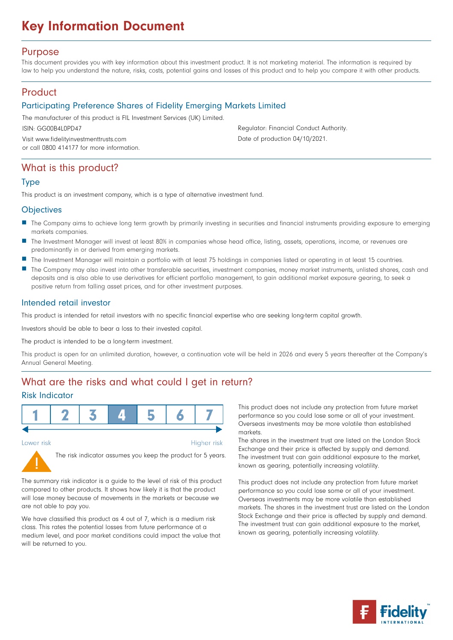# Key Information Document

### Purpose

This document provides you with key information about this investment product. It is not marketing material. The information is required by law to help you understand the nature, risks, costs, potential gains and losses of this product and to help you compare it with other products.

### **Product**

### Participating Preference Shares of Fidelity Emerging Markets Limited

The manufacturer of this product is FIL Investment Services (UK) Limited.

ISIN: GG00B4L0PD47

Visit www.fidelityinvestmenttrusts.com or call 0800 414177 for more information. Regulator: Financial Conduct Authority. Date of production 04/10/2021.

### What is this product?

### Type

This product is an investment company, which is a type of alternative investment fund.

### **Objectives**

- The Company aims to achieve long term growth by primarily investing in securities and financial instruments providing exposure to emerging markets companies.
- The Investment Manager will invest at least 80% in companies whose head office, listing, assets, operations, income, or revenues are predominantly in or derived from emerging markets.
- The Investment Manager will maintain a portfolio with at least 75 holdings in companies listed or operating in at least 15 countries.
- The Company may also invest into other transferable securities, investment companies, money market instruments, unlisted shares, cash and deposits and is also able to use derivatives for efficient portfolio management, to gain additional market exposure gearing, to seek a positive return from falling asset prices, and for other investment purposes.

### Intended retail investor

This product is intended for retail investors with no specific financial expertise who are seeking long-term capital growth.

Investors should be able to bear a loss to their invested capital.

The product is intended to be a long-term investment.

This product is open for an unlimited duration, however, a continuation vote will be held in 2026 and every 5 years thereafter at the Company's Annual General Meeting.

# What are the risks and what could I get in return?

### Risk Indicator



Lower risk

Higher risk



The risk indicator assumes you keep the product for 5 years.

The summary risk indicator is a guide to the level of risk of this product compared to other products. It shows how likely it is that the product will lose money because of movements in the markets or because we are not able to pay you.

We have classified this product as 4 out of 7, which is a medium risk class. This rates the potential losses from future performance at a medium level, and poor market conditions could impact the value that will be returned to you.

This product does not include any protection from future market performance so you could lose some or all of your investment. Overseas investments may be more volatile than established markets.

The shares in the investment trust are listed on the London Stock Exchange and their price is affected by supply and demand. The investment trust can gain additional exposure to the market, known as gearing, potentially increasing volatility.

This product does not include any protection from future market performance so you could lose some or all of your investment. Overseas investments may be more volatile than established markets. The shares in the investment trust are listed on the London Stock Exchange and their price is affected by supply and demand. The investment trust can gain additional exposure to the market, known as gearing, potentially increasing volatility.

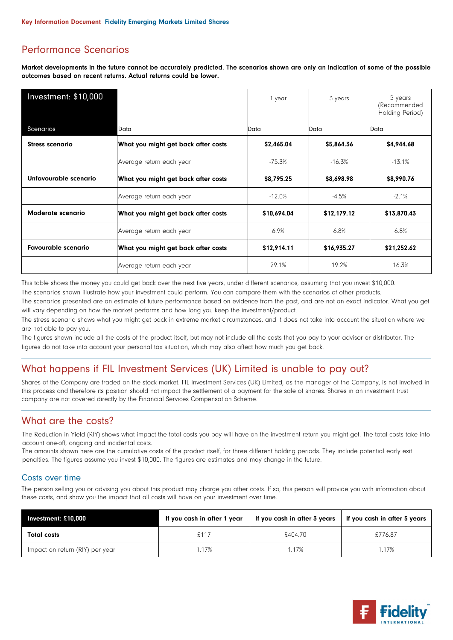# Performance Scenarios

Market developments in the future cannot be accurately predicted. The scenarios shown are only an indication of some of the possible outcomes based on recent returns. Actual returns could be lower.

| Investment: \$10,000                                     |                                     | 1 year      | 3 years     | 5 years<br>(Recommended<br>Holding Period) |
|----------------------------------------------------------|-------------------------------------|-------------|-------------|--------------------------------------------|
| Scenarios                                                | Data<br>Data<br>Data                |             | Data        |                                            |
| <b>Stress scenario</b>                                   | What you might get back after costs | \$2,465.04  | \$5,864.36  | \$4,944.68                                 |
|                                                          | Average return each year            | $-75.3%$    | $-16.3\%$   | $-13.1%$                                   |
| Unfavourable scenario                                    | What you might get back after costs | \$8,795.25  | \$8,698.98  | \$8,990.76                                 |
|                                                          | Average return each year            | $-12.0%$    | $-4.5%$     | $-2.1%$                                    |
| Moderate scenario<br>What you might get back after costs |                                     | \$10,694.04 | \$12,179.12 | \$13,870.43                                |
|                                                          | Average return each year            | 6.9%        | 6.8%        | 6.8%                                       |
| <b>Favourable scenario</b>                               | What you might get back after costs | \$12,914.11 | \$16,935.27 | \$21,252.62                                |
|                                                          | Average return each year            | 29.1%       | 19.2%       | 16.3%                                      |

This table shows the money you could get back over the next five years, under different scenarios, assuming that you invest \$10,000.

The scenarios shown illustrate how your investment could perform. You can compare them with the scenarios of other products.

The scenarios presented are an estimate of future performance based on evidence from the past, and are not an exact indicator. What you get will vary depending on how the market performs and how long you keep the investment/product.

The stress scenario shows what you might get back in extreme market circumstances, and it does not take into account the situation where we are not able to pay you.

The figures shown include all the costs of the product itself, but may not include all the costs that you pay to your advisor or distributor. The figures do not take into account your personal tax situation, which may also affect how much you get back.

# What happens if FIL Investment Services (UK) Limited is unable to pay out?

Shares of the Company are traded on the stock market. FIL Investment Services (UK) Limited, as the manager of the Company, is not involved in this process and therefore its position should not impact the settlement of a payment for the sale of shares. Shares in an investment trust company are not covered directly by the Financial Services Compensation Scheme.

# What are the costs?

The Reduction in Yield (RIY) shows what impact the total costs you pay will have on the investment return you might get. The total costs take into account one-off, ongoing and incidental costs.

The amounts shown here are the cumulative costs of the product itself, for three different holding periods. They include potential early exit penalties. The figures assume you invest \$10,000. The figures are estimates and may change in the future.

#### Costs over time

The person selling you or advising you about this product may charge you other costs. If so, this person will provide you with information about these costs, and show you the impact that all costs will have on your investment over time.

| Investment: $£10,000$           | If you cash in after 1 year | If you cash in after 3 years | If you cash in after 5 years |
|---------------------------------|-----------------------------|------------------------------|------------------------------|
| <b>Total costs</b>              | £117                        | £404.70                      | £776.87                      |
| Impact on return (RIY) per year | 1.17%                       | 1.17%                        | 1.17%                        |